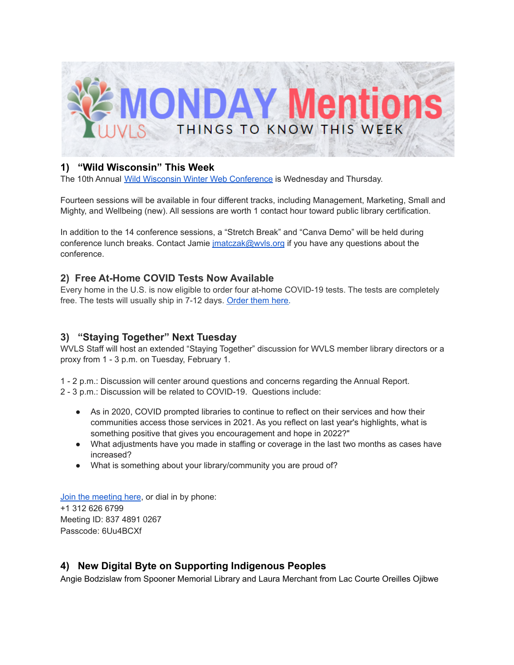

### **1) "Wild Wisconsin" This Week**

The 10th Annual Wild Wisconsin Winter Web [Conference](https://www.wildwiscwinterweb.com/) is Wednesday and Thursday.

Fourteen sessions will be available in four different tracks, including Management, Marketing, Small and Mighty, and Wellbeing (new). All sessions are worth 1 contact hour toward public library certification.

In addition to the 14 conference sessions, a "Stretch Break" and "Canva Demo" will be held during conference lunch breaks. Contact Jamie [jmatczak@wvls.org](mailto:jmatczak@wvls.org) if you have any questions about the conference.

#### **2) Free At-Home COVID Tests Now Available**

Every home in the U.S. is now eligible to order four at-home COVID-19 tests. The tests are completely free. The tests will usually ship in 7-12 days. [Order](https://www.covidtests.gov/) them here.

### **3) "Staying Together" Next Tuesday**

WVLS Staff will host an extended "Staying Together" discussion for WVLS member library directors or a proxy from 1 - 3 p.m. on Tuesday, February 1.

1 - 2 p.m.: Discussion will center around questions and concerns regarding the Annual Report. 2 - 3 p.m.: Discussion will be related to COVID-19. Questions include:

- As in 2020, COVID prompted libraries to continue to reflect on their services and how their communities access those services in 2021. As you reflect on last year's highlights, what is something positive that gives you encouragement and hope in 2022?"
- What adjustments have you made in staffing or coverage in the last two months as cases have increased?
- What is something about your library/community you are proud of?

Join the [meeting](https://us02web.zoom.us/j/83748910267?pwd=UXZKM1BBOGUwbUpmVmRiT2lxM3NoQT09) here, or dial in by phone: +1 312 626 6799 Meeting ID: 837 4891 0267 Passcode: 6Uu4BCXf

### **4) New Digital Byte on Supporting Indigenous Peoples**

Angie Bodzislaw from Spooner Memorial Library and Laura Merchant from Lac Courte Oreilles Ojibwe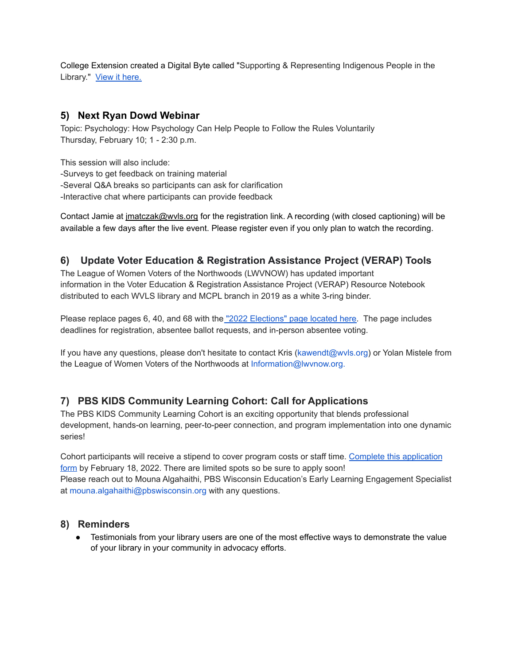College Extension created a Digital Byte called "Supporting & Representing Indigenous People in the Library." View it [here.](https://youtu.be/40KVO0UxVvY)

## **5) Next Ryan Dowd Webinar**

Topic: Psychology: How Psychology Can Help People to Follow the Rules Voluntarily Thursday, February 10; 1 - 2:30 p.m.

This session will also include: -Surveys to get feedback on training material -Several Q&A breaks so participants can ask for clarification -Interactive chat where participants can provide feedback

Contact Jamie at *[jmatczak@wvls.org](mailto:jmatczak@wvls.org)* for the registration link. A recording (with closed captioning) will be available a few days after the live event. Please register even if you only plan to watch the recording.

## **6) Update Voter Education & Registration Assistance Project (VERAP) Tools**

The League of Women Voters of the Northwoods (LWVNOW) has updated important information in the Voter Education & Registration Assistance Project (VERAP) Resource Notebook distributed to each WVLS library and MCPL branch in 2019 as a white 3-ring binder.

Please replace pages 6, 40, and 68 with the "2022 [Elections"](https://docs.google.com/document/d/1G-hTLaurXeuFQ_40FLwDUPWk7aojOjBfNFaOHQD2sJ4/edit?usp=sharing) page located here. The page includes deadlines for registration, absentee ballot requests, and in-person absentee voting.

If you have any questions, please don't hesitate to contact Kris (kawendt@wvls.org) or Yolan Mistele from the League of Women Voters of the Northwoods at Information@lwvnow.org.

# **7) PBS KIDS Community Learning Cohort: Call for Applications**

The PBS KIDS Community Learning Cohort is an exciting opportunity that blends professional development, hands-on learning, peer-to-peer connection, and program implementation into one dynamic series!

Cohort participants will receive a stipend to cover program costs or staff time. Complete this [application](https://survey.alchemer.com/s3/6696206/2022-PBS-KIDS-Library-Community-Learning-Cohort-Application) [form](https://survey.alchemer.com/s3/6696206/2022-PBS-KIDS-Library-Community-Learning-Cohort-Application) by February 18, 2022. There are limited spots so be sure to apply soon! Please reach out to Mouna Algahaithi, PBS Wisconsin Education's Early Learning Engagement Specialist at mouna.algahaithi@pbswisconsin.org with any questions.

### **8) Reminders**

• Testimonials from your library users are one of the most effective ways to demonstrate the value of your library in your community in advocacy efforts.